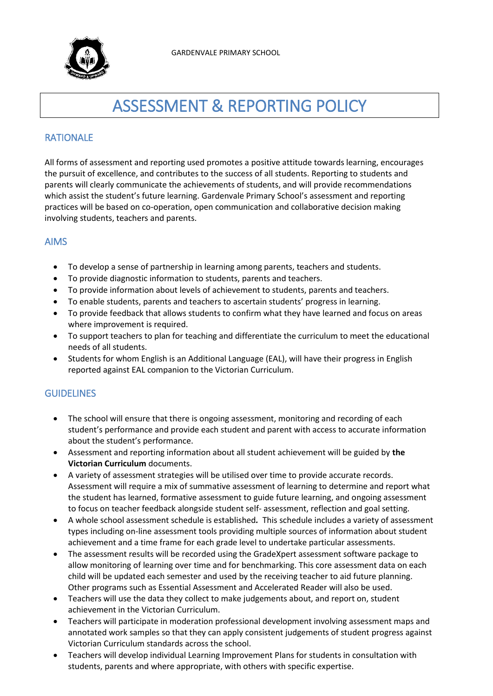

# ASSESSMENT & REPORTING POLICY

## RATIONALE

All forms of assessment and reporting used promotes a positive attitude towards learning, encourages the pursuit of excellence, and contributes to the success of all students. Reporting to students and parents will clearly communicate the achievements of students, and will provide recommendations which assist the student's future learning. Gardenvale Primary School's assessment and reporting practices will be based on co-operation, open communication and collaborative decision making involving students, teachers and parents.

#### AIMS

- To develop a sense of partnership in learning among parents, teachers and students.
- To provide diagnostic information to students, parents and teachers.
- To provide information about levels of achievement to students, parents and teachers.
- To enable students, parents and teachers to ascertain students' progress in learning.
- To provide feedback that allows students to confirm what they have learned and focus on areas where improvement is required.
- To support teachers to plan for teaching and differentiate the curriculum to meet the educational needs of all students.
- Students for whom English is an Additional Language (EAL), will have their progress in English reported against EAL companion to the Victorian Curriculum.

### **GUIDELINES**

- The school will ensure that there is ongoing assessment, monitoring and recording of each student's performance and provide each student and parent with access to accurate information about the student's performance.
- Assessment and reporting information about all student achievement will be guided by **the Victorian Curriculum** documents.
- A variety of assessment strategies will be utilised over time to provide accurate records. Assessment will require a mix of summative assessment of learning to determine and report what the student has learned, formative assessment to guide future learning, and ongoing assessment to focus on teacher feedback alongside student self- assessment, reflection and goal setting.
- A whole school assessment schedule is established*.* This schedule includes a variety of assessment types including on-line assessment tools providing multiple sources of information about student achievement and a time frame for each grade level to undertake particular assessments.
- The assessment results will be recorded using the GradeXpert assessment software package to allow monitoring of learning over time and for benchmarking. This core assessment data on each child will be updated each semester and used by the receiving teacher to aid future planning. Other programs such as Essential Assessment and Accelerated Reader will also be used.
- Teachers will use the data they collect to make judgements about, and report on, student achievement in the Victorian Curriculum.
- Teachers will participate in moderation professional development involving assessment maps and annotated work samples so that they can apply consistent judgements of student progress against Victorian Curriculum standards across the school.
- Teachers will develop individual Learning Improvement Plans for students in consultation with students, parents and where appropriate, with others with specific expertise.